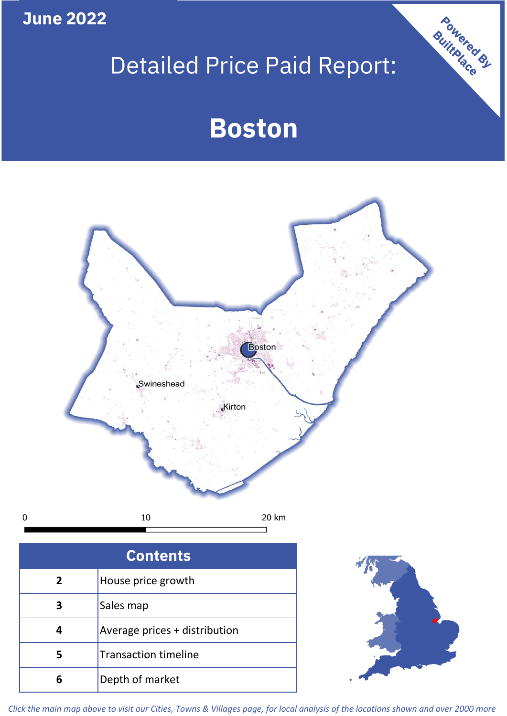**June 2022**

 $\mathbf 0$ 

# Detailed Price Paid Report:

# **Boston**



| <b>Contents</b> |                               |  |  |
|-----------------|-------------------------------|--|--|
| 2               | House price growth            |  |  |
| 3               | Sales map                     |  |  |
|                 | Average prices + distribution |  |  |
| 5               | <b>Transaction timeline</b>   |  |  |
|                 | Depth of market               |  |  |



Powered By

*Click the main map above to visit our Cities, Towns & Villages page, for local analysis of the locations shown and over 2000 more*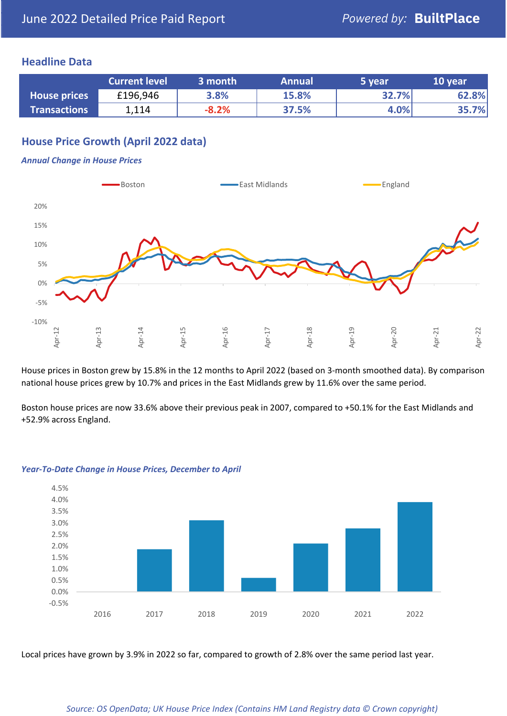### **Headline Data**

|                     | <b>Current level</b> | 3 month | <b>Annual</b> | 5 year | 10 year |
|---------------------|----------------------|---------|---------------|--------|---------|
| <b>House prices</b> | £196,946             | 3.8%    | 15.8%         | 32.7%  | 62.8%   |
| <b>Transactions</b> | 1,114                | $-8.2%$ | 37.5%         | 4.0%   | 35.7%   |

# **House Price Growth (April 2022 data)**

#### *Annual Change in House Prices*



House prices in Boston grew by 15.8% in the 12 months to April 2022 (based on 3-month smoothed data). By comparison national house prices grew by 10.7% and prices in the East Midlands grew by 11.6% over the same period.

Boston house prices are now 33.6% above their previous peak in 2007, compared to +50.1% for the East Midlands and +52.9% across England.



#### *Year-To-Date Change in House Prices, December to April*

Local prices have grown by 3.9% in 2022 so far, compared to growth of 2.8% over the same period last year.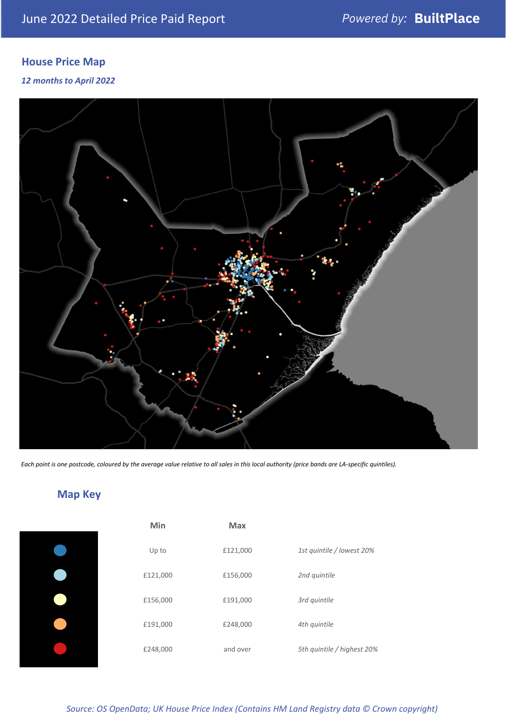# **House Price Map**

*12 months to April 2022*



*Each point is one postcode, coloured by the average value relative to all sales in this local authority (price bands are LA-specific quintiles).*

# **Map Key**

| Min      | <b>Max</b> |                            |
|----------|------------|----------------------------|
| Up to    | £121,000   | 1st quintile / lowest 20%  |
| £121,000 | £156,000   | 2nd quintile               |
| £156,000 | £191,000   | 3rd quintile               |
| £191,000 | £248,000   | 4th quintile               |
| £248,000 | and over   | 5th quintile / highest 20% |

*Source: OS OpenData; UK House Price Index (Contains HM Land Registry data © Crown copyright)*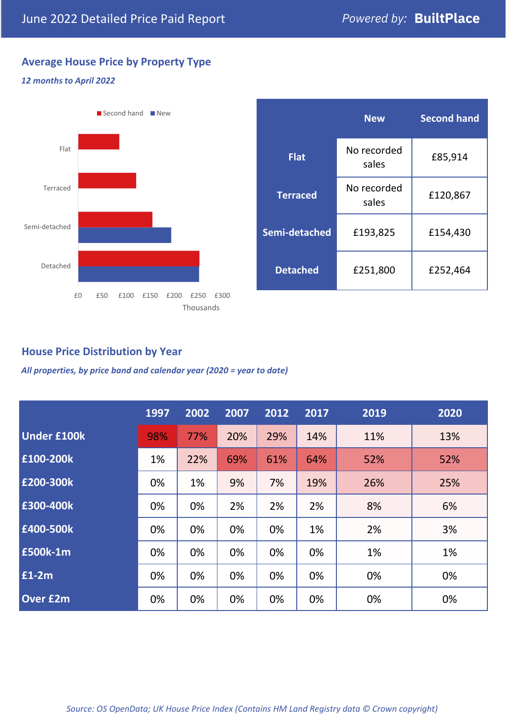# **Average House Price by Property Type**

#### *12 months to April 2022*



|                 | <b>New</b>           | <b>Second hand</b> |  |
|-----------------|----------------------|--------------------|--|
| <b>Flat</b>     | No recorded<br>sales | £85,914            |  |
| <b>Terraced</b> | No recorded<br>sales | £120,867           |  |
| Semi-detached   | £193,825             | £154,430           |  |
| <b>Detached</b> | £251,800             | £252,464           |  |

## **House Price Distribution by Year**

*All properties, by price band and calendar year (2020 = year to date)*

|                    | 1997 | 2002 | 2007 | 2012 | 2017 | 2019 | 2020 |
|--------------------|------|------|------|------|------|------|------|
| <b>Under £100k</b> | 98%  | 77%  | 20%  | 29%  | 14%  | 11%  | 13%  |
| £100-200k          | 1%   | 22%  | 69%  | 61%  | 64%  | 52%  | 52%  |
| £200-300k          | 0%   | 1%   | 9%   | 7%   | 19%  | 26%  | 25%  |
| £300-400k          | 0%   | 0%   | 2%   | 2%   | 2%   | 8%   | 6%   |
| £400-500k          | 0%   | 0%   | 0%   | 0%   | 1%   | 2%   | 3%   |
| <b>£500k-1m</b>    | 0%   | 0%   | 0%   | 0%   | 0%   | 1%   | 1%   |
| £1-2m              | 0%   | 0%   | 0%   | 0%   | 0%   | 0%   | 0%   |
| <b>Over £2m</b>    | 0%   | 0%   | 0%   | 0%   | 0%   | 0%   | 0%   |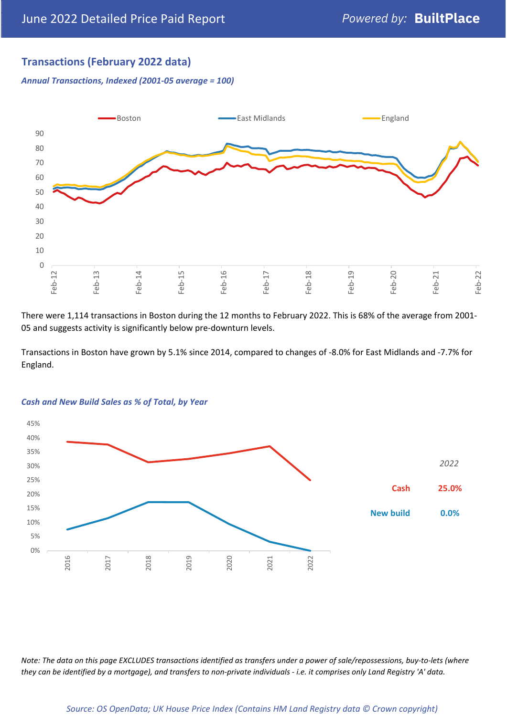## **Transactions (February 2022 data)**

*Annual Transactions, Indexed (2001-05 average = 100)*



There were 1,114 transactions in Boston during the 12 months to February 2022. This is 68% of the average from 2001- 05 and suggests activity is significantly below pre-downturn levels.

Transactions in Boston have grown by 5.1% since 2014, compared to changes of -8.0% for East Midlands and -7.7% for England.



#### *Cash and New Build Sales as % of Total, by Year*

*Note: The data on this page EXCLUDES transactions identified as transfers under a power of sale/repossessions, buy-to-lets (where they can be identified by a mortgage), and transfers to non-private individuals - i.e. it comprises only Land Registry 'A' data.*